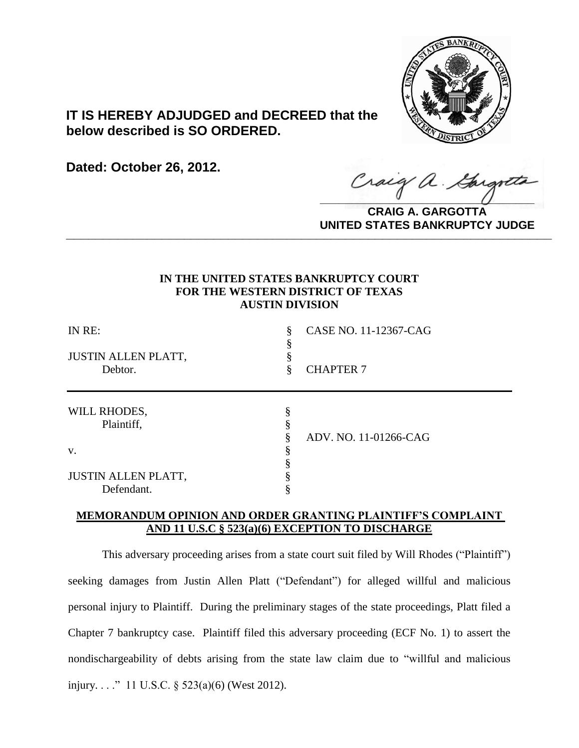

# **IT IS HEREBY ADJUDGED and DECREED that the below described is SO ORDERED.**

**Dated: October 26, 2012.**

Craig a Gargot

**CRAIG A. GARGOTTA UNITED STATES BANKRUPTCY JUDGE PRITED DIATED BARRACT TOT 00DCE** 

## **IN THE UNITED STATES BANKRUPTCY COURT FOR THE WESTERN DISTRICT OF TEXAS AUSTIN DIVISION**

| IN RE:<br><b>JUSTIN ALLEN PLATT,</b><br>Debtor. | CASE NO. 11-12367-CAG<br><b>CHAPTER 7</b> |
|-------------------------------------------------|-------------------------------------------|
| WILL RHODES,<br>Plaintiff,                      | ADV. NO. 11-01266-CAG                     |
| V.                                              |                                           |
| <b>JUSTIN ALLEN PLATT,</b><br>Defendant.        |                                           |

## **MEMORANDUM OPINION AND ORDER GRANTING PLAINTIFF'S COMPLAINT AND 11 U.S.C § 523(a)(6) EXCEPTION TO DISCHARGE**

This adversary proceeding arises from a state court suit filed by Will Rhodes ("Plaintiff") seeking damages from Justin Allen Platt ("Defendant") for alleged willful and malicious personal injury to Plaintiff. During the preliminary stages of the state proceedings, Platt filed a Chapter 7 bankruptcy case. Plaintiff filed this adversary proceeding (ECF No. 1) to assert the nondischargeability of debts arising from the state law claim due to "willful and malicious injury. . . ." 11 U.S.C. § 523(a)(6) (West 2012).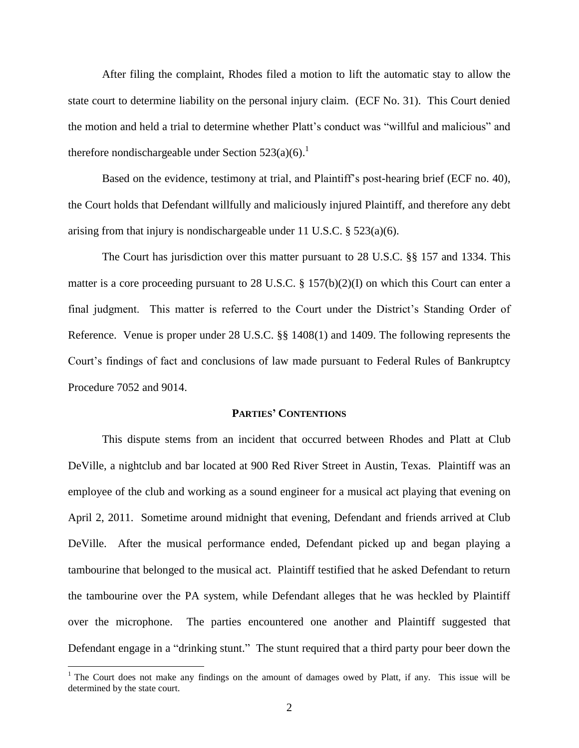After filing the complaint, Rhodes filed a motion to lift the automatic stay to allow the state court to determine liability on the personal injury claim. (ECF No. 31). This Court denied the motion and held a trial to determine whether Platt's conduct was "willful and malicious" and therefore nondischargeable under Section  $523(a)(6)$ .<sup>1</sup>

Based on the evidence, testimony at trial, and Plaintiff's post-hearing brief (ECF no. 40), the Court holds that Defendant willfully and maliciously injured Plaintiff, and therefore any debt arising from that injury is nondischargeable under 11 U.S.C. § 523(a)(6).

The Court has jurisdiction over this matter pursuant to 28 U.S.C. §§ 157 and 1334. This matter is a core proceeding pursuant to 28 U.S.C. § 157(b)(2)(I) on which this Court can enter a final judgment. This matter is referred to the Court under the District's Standing Order of Reference. Venue is proper under 28 U.S.C. §§ 1408(1) and 1409. The following represents the Court's findings of fact and conclusions of law made pursuant to Federal Rules of Bankruptcy Procedure 7052 and 9014.

#### **PARTIES' CONTENTIONS**

This dispute stems from an incident that occurred between Rhodes and Platt at Club DeVille, a nightclub and bar located at 900 Red River Street in Austin, Texas. Plaintiff was an employee of the club and working as a sound engineer for a musical act playing that evening on April 2, 2011. Sometime around midnight that evening, Defendant and friends arrived at Club DeVille. After the musical performance ended, Defendant picked up and began playing a tambourine that belonged to the musical act. Plaintiff testified that he asked Defendant to return the tambourine over the PA system, while Defendant alleges that he was heckled by Plaintiff over the microphone. The parties encountered one another and Plaintiff suggested that Defendant engage in a "drinking stunt." The stunt required that a third party pour beer down the

 $\overline{a}$ 

<sup>&</sup>lt;sup>1</sup> The Court does not make any findings on the amount of damages owed by Platt, if any. This issue will be determined by the state court.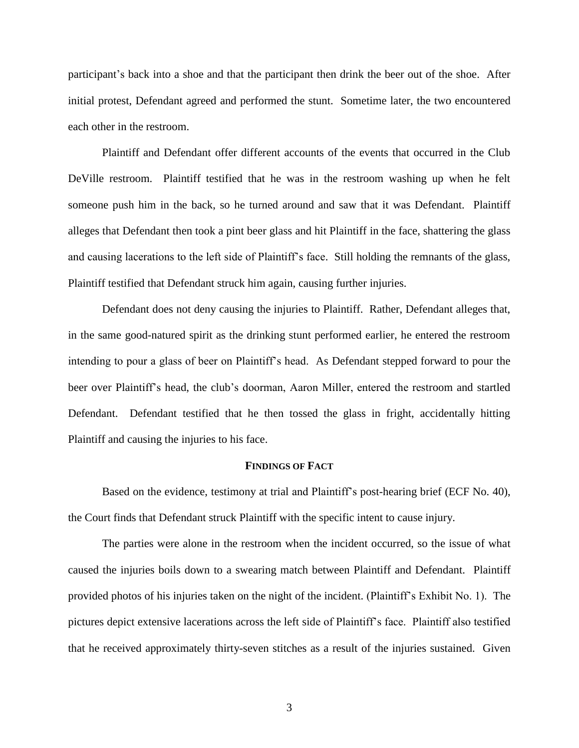participant's back into a shoe and that the participant then drink the beer out of the shoe. After initial protest, Defendant agreed and performed the stunt. Sometime later, the two encountered each other in the restroom.

Plaintiff and Defendant offer different accounts of the events that occurred in the Club DeVille restroom. Plaintiff testified that he was in the restroom washing up when he felt someone push him in the back, so he turned around and saw that it was Defendant. Plaintiff alleges that Defendant then took a pint beer glass and hit Plaintiff in the face, shattering the glass and causing lacerations to the left side of Plaintiff's face. Still holding the remnants of the glass, Plaintiff testified that Defendant struck him again, causing further injuries.

Defendant does not deny causing the injuries to Plaintiff. Rather, Defendant alleges that, in the same good-natured spirit as the drinking stunt performed earlier, he entered the restroom intending to pour a glass of beer on Plaintiff's head. As Defendant stepped forward to pour the beer over Plaintiff's head, the club's doorman, Aaron Miller, entered the restroom and startled Defendant. Defendant testified that he then tossed the glass in fright, accidentally hitting Plaintiff and causing the injuries to his face.

## **FINDINGS OF FACT**

Based on the evidence, testimony at trial and Plaintiff's post-hearing brief (ECF No. 40), the Court finds that Defendant struck Plaintiff with the specific intent to cause injury.

The parties were alone in the restroom when the incident occurred, so the issue of what caused the injuries boils down to a swearing match between Plaintiff and Defendant. Plaintiff provided photos of his injuries taken on the night of the incident. (Plaintiff's Exhibit No. 1). The pictures depict extensive lacerations across the left side of Plaintiff's face. Plaintiff also testified that he received approximately thirty-seven stitches as a result of the injuries sustained. Given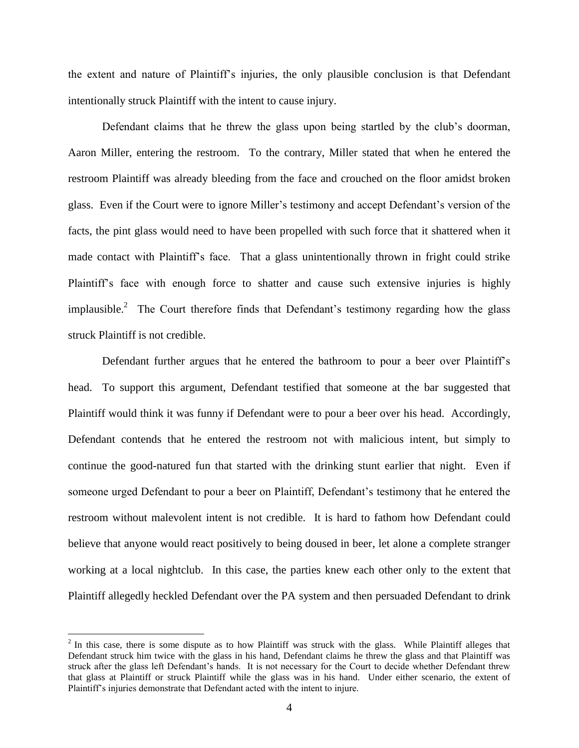the extent and nature of Plaintiff's injuries, the only plausible conclusion is that Defendant intentionally struck Plaintiff with the intent to cause injury.

Defendant claims that he threw the glass upon being startled by the club's doorman, Aaron Miller, entering the restroom. To the contrary, Miller stated that when he entered the restroom Plaintiff was already bleeding from the face and crouched on the floor amidst broken glass. Even if the Court were to ignore Miller's testimony and accept Defendant's version of the facts, the pint glass would need to have been propelled with such force that it shattered when it made contact with Plaintiff's face. That a glass unintentionally thrown in fright could strike Plaintiff's face with enough force to shatter and cause such extensive injuries is highly implausible.<sup>2</sup> The Court therefore finds that Defendant's testimony regarding how the glass struck Plaintiff is not credible.

Defendant further argues that he entered the bathroom to pour a beer over Plaintiff's head. To support this argument, Defendant testified that someone at the bar suggested that Plaintiff would think it was funny if Defendant were to pour a beer over his head. Accordingly, Defendant contends that he entered the restroom not with malicious intent, but simply to continue the good-natured fun that started with the drinking stunt earlier that night. Even if someone urged Defendant to pour a beer on Plaintiff, Defendant's testimony that he entered the restroom without malevolent intent is not credible. It is hard to fathom how Defendant could believe that anyone would react positively to being doused in beer, let alone a complete stranger working at a local nightclub. In this case, the parties knew each other only to the extent that Plaintiff allegedly heckled Defendant over the PA system and then persuaded Defendant to drink

 $\overline{a}$ 

 $2$  In this case, there is some dispute as to how Plaintiff was struck with the glass. While Plaintiff alleges that Defendant struck him twice with the glass in his hand, Defendant claims he threw the glass and that Plaintiff was struck after the glass left Defendant's hands. It is not necessary for the Court to decide whether Defendant threw that glass at Plaintiff or struck Plaintiff while the glass was in his hand. Under either scenario, the extent of Plaintiff's injuries demonstrate that Defendant acted with the intent to injure.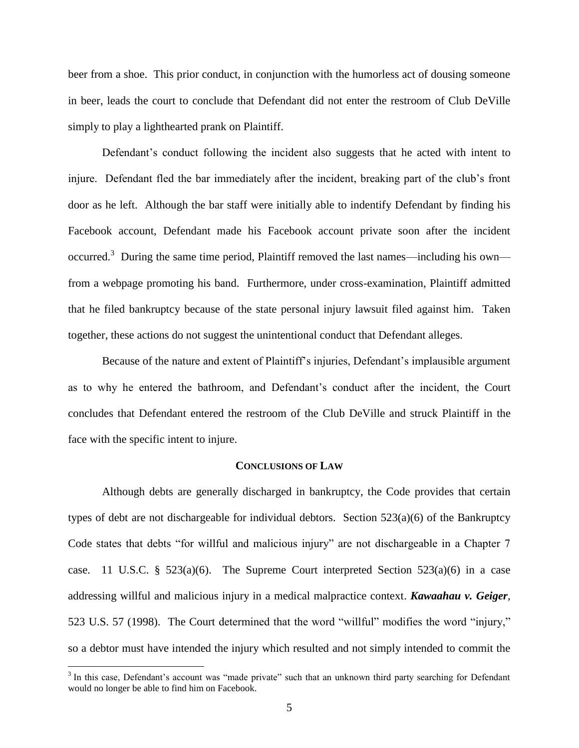beer from a shoe. This prior conduct, in conjunction with the humorless act of dousing someone in beer, leads the court to conclude that Defendant did not enter the restroom of Club DeVille simply to play a lighthearted prank on Plaintiff.

Defendant's conduct following the incident also suggests that he acted with intent to injure. Defendant fled the bar immediately after the incident, breaking part of the club's front door as he left. Although the bar staff were initially able to indentify Defendant by finding his Facebook account, Defendant made his Facebook account private soon after the incident occurred.<sup>3</sup> During the same time period, Plaintiff removed the last names—including his own from a webpage promoting his band. Furthermore, under cross-examination, Plaintiff admitted that he filed bankruptcy because of the state personal injury lawsuit filed against him. Taken together, these actions do not suggest the unintentional conduct that Defendant alleges.

Because of the nature and extent of Plaintiff's injuries, Defendant's implausible argument as to why he entered the bathroom, and Defendant's conduct after the incident, the Court concludes that Defendant entered the restroom of the Club DeVille and struck Plaintiff in the face with the specific intent to injure.

## **CONCLUSIONS OF LAW**

Although debts are generally discharged in bankruptcy, the Code provides that certain types of debt are not dischargeable for individual debtors. Section 523(a)(6) of the Bankruptcy Code states that debts "for willful and malicious injury" are not dischargeable in a Chapter 7 case. 11 U.S.C. § 523(a)(6). The Supreme Court interpreted Section 523(a)(6) in a case addressing willful and malicious injury in a medical malpractice context. *Kawaahau v. Geiger,*  523 U.S. 57 (1998). The Court determined that the word "willful" modifies the word "injury," so a debtor must have intended the injury which resulted and not simply intended to commit the

<sup>&</sup>lt;sup>3</sup> In this case, Defendant's account was "made private" such that an unknown third party searching for Defendant would no longer be able to find him on Facebook.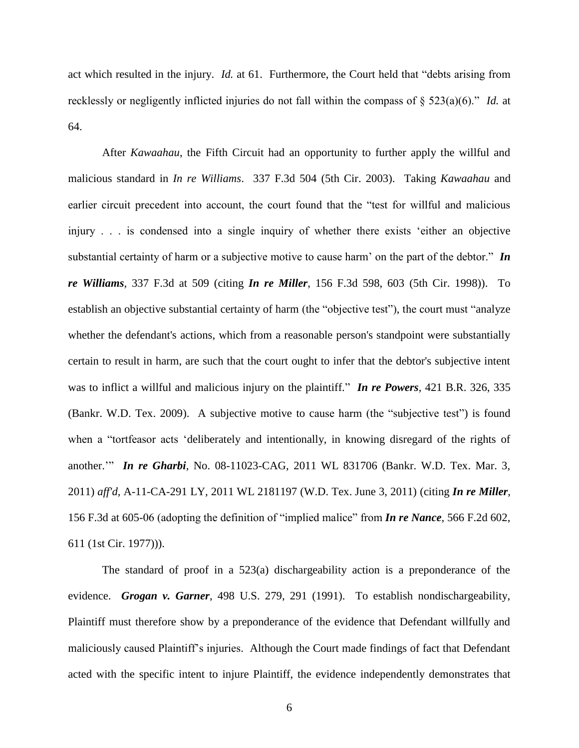act which resulted in the injury. *Id.* at 61. Furthermore, the Court held that "debts arising from recklessly or negligently inflicted injuries do not fall within the compass of § 523(a)(6)." *Id.* at 64.

After *Kawaahau*, the Fifth Circuit had an opportunity to further apply the willful and malicious standard in *In re Williams*. 337 F.3d 504 (5th Cir. 2003). Taking *Kawaahau* and earlier circuit precedent into account, the court found that the "test for willful and malicious injury . . . is condensed into a single inquiry of whether there exists 'either an objective substantial certainty of harm or a subjective motive to cause harm' on the part of the debtor." *In re Williams,* 337 F.3d at 509 (citing *In re Miller*, 156 F.3d 598, 603 (5th Cir. 1998)). To establish an objective substantial certainty of harm (the "objective test"), the court must "analyze whether the defendant's actions, which from a reasonable person's standpoint were substantially certain to result in harm, are such that the court ought to infer that the debtor's subjective intent was to inflict a willful and malicious injury on the plaintiff." *In re Powers*, 421 B.R. 326, 335 (Bankr. W.D. Tex. 2009). A subjective motive to cause harm (the "subjective test") is found when a "tortfeasor acts 'deliberately and intentionally, in knowing disregard of the rights of another.'" *In re Gharbi*, No. 08-11023-CAG, 2011 WL 831706 (Bankr. W.D. Tex. Mar. 3, 2011) *aff'd*, A-11-CA-291 LY, 2011 WL 2181197 (W.D. Tex. June 3, 2011) (citing *In re Miller*, 156 F.3d at 605-06 (adopting the definition of "implied malice" from *In re Nance*, 566 F.2d 602, 611 (1st Cir. 1977))).

The standard of proof in a 523(a) dischargeability action is a preponderance of the evidence. *Grogan v. Garner*, 498 U.S. 279, 291 (1991). To establish nondischargeability, Plaintiff must therefore show by a preponderance of the evidence that Defendant willfully and maliciously caused Plaintiff's injuries. Although the Court made findings of fact that Defendant acted with the specific intent to injure Plaintiff, the evidence independently demonstrates that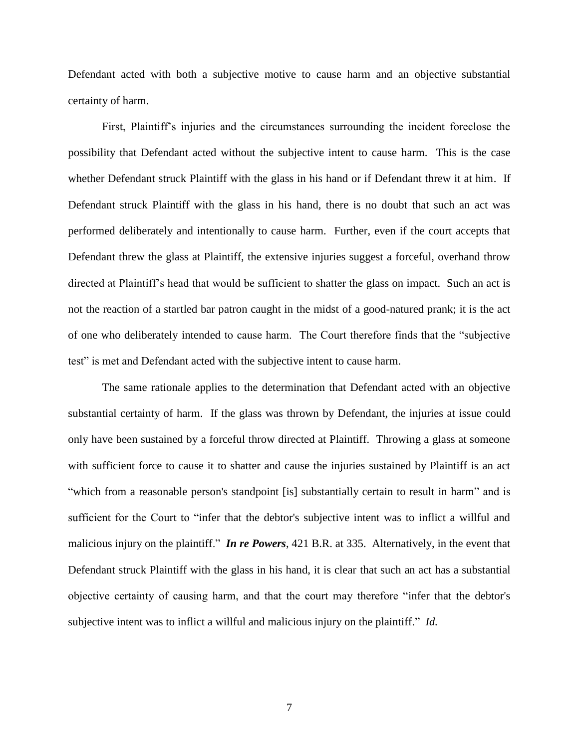Defendant acted with both a subjective motive to cause harm and an objective substantial certainty of harm.

First, Plaintiff's injuries and the circumstances surrounding the incident foreclose the possibility that Defendant acted without the subjective intent to cause harm. This is the case whether Defendant struck Plaintiff with the glass in his hand or if Defendant threw it at him. If Defendant struck Plaintiff with the glass in his hand, there is no doubt that such an act was performed deliberately and intentionally to cause harm. Further, even if the court accepts that Defendant threw the glass at Plaintiff, the extensive injuries suggest a forceful, overhand throw directed at Plaintiff's head that would be sufficient to shatter the glass on impact. Such an act is not the reaction of a startled bar patron caught in the midst of a good-natured prank; it is the act of one who deliberately intended to cause harm. The Court therefore finds that the "subjective test" is met and Defendant acted with the subjective intent to cause harm.

The same rationale applies to the determination that Defendant acted with an objective substantial certainty of harm. If the glass was thrown by Defendant, the injuries at issue could only have been sustained by a forceful throw directed at Plaintiff. Throwing a glass at someone with sufficient force to cause it to shatter and cause the injuries sustained by Plaintiff is an act "which from a reasonable person's standpoint [is] substantially certain to result in harm" and is sufficient for the Court to "infer that the debtor's subjective intent was to inflict a willful and malicious injury on the plaintiff." *In re Powers*, 421 B.R. at 335. Alternatively, in the event that Defendant struck Plaintiff with the glass in his hand, it is clear that such an act has a substantial objective certainty of causing harm, and that the court may therefore "infer that the debtor's subjective intent was to inflict a willful and malicious injury on the plaintiff." *Id.*